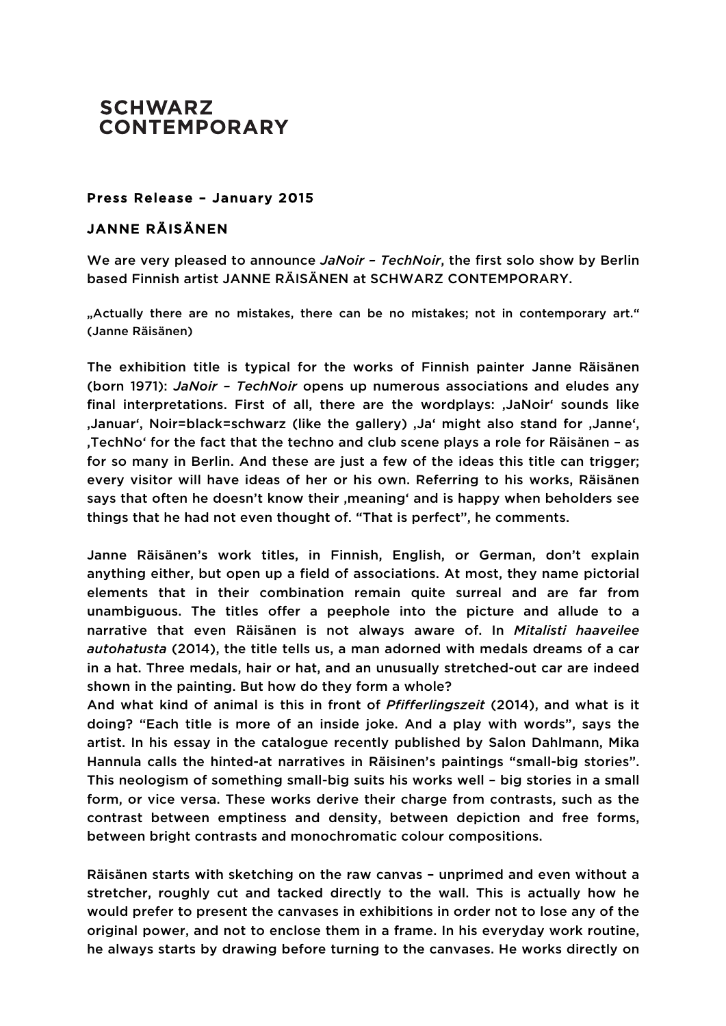## **SCHWARZ CONTEMPORARY**

## Press Release – January 2015

## JANNE RÄISÄNEN

We are very pleased to announce *JaNoir – TechNoir*, the first solo show by Berlin based Finnish artist JANNE RÄISÄNEN at SCHWARZ CONTEMPORARY.

"Actually there are no mistakes, there can be no mistakes; not in contemporary art." (Janne Räisänen)

The exhibition title is typical for the works of Finnish painter Janne Räisänen (born 1971): *JaNoir – TechNoir* opens up numerous associations and eludes any final interpretations. First of all, there are the wordplays: , JaNoir' sounds like ,Januar', Noir=black=schwarz (like the gallery) ,Ja' might also stand for ,Janne', 'TechNo' for the fact that the techno and club scene plays a role for Räisänen – as for so many in Berlin. And these are just a few of the ideas this title can trigger; every visitor will have ideas of her or his own. Referring to his works, Räisänen says that often he doesn't know their , meaning' and is happy when beholders see things that he had not even thought of. "That is perfect", he comments.

Janne Räisänen's work titles, in Finnish, English, or German, don't explain anything either, but open up a field of associations. At most, they name pictorial elements that in their combination remain quite surreal and are far from unambiguous. The titles offer a peephole into the picture and allude to a narrative that even Räisänen is not always aware of. In *Mitalisti haaveilee autohatusta* (2014), the title tells us, a man adorned with medals dreams of a car in a hat. Three medals, hair or hat, and an unusually stretched-out car are indeed shown in the painting. But how do they form a whole?

And what kind of animal is this in front of *Pfifferlingszeit* (2014), and what is it doing? "Each title is more of an inside joke. And a play with words", says the artist. In his essay in the catalogue recently published by Salon Dahlmann, Mika Hannula calls the hinted-at narratives in Räisinen's paintings "small-big stories". This neologism of something small-big suits his works well – big stories in a small form, or vice versa. These works derive their charge from contrasts, such as the contrast between emptiness and density, between depiction and free forms, between bright contrasts and monochromatic colour compositions.

Räisänen starts with sketching on the raw canvas – unprimed and even without a stretcher, roughly cut and tacked directly to the wall. This is actually how he would prefer to present the canvases in exhibitions in order not to lose any of the original power, and not to enclose them in a frame. In his everyday work routine, he always starts by drawing before turning to the canvases. He works directly on